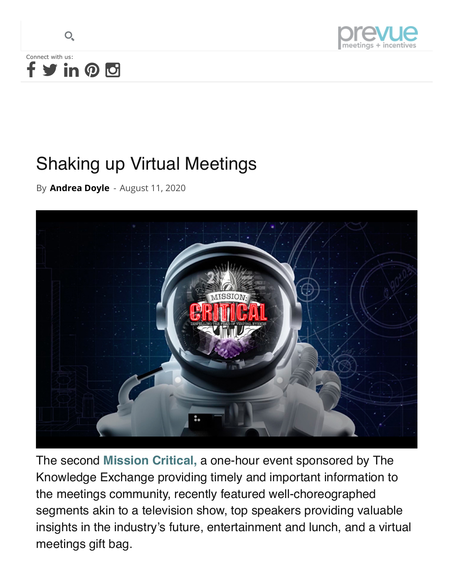



## Shaking up Virtual Meetings

By **[Andrea Doyle](https://www.prevuemeetings.com/author/adoyle/)** - August 11, 2020



The second **[Mission Critical,](https://www.missioncritical.live/)** a one-hour event sponsored by The Knowledge Exchange providing timely and important information to the meetings community, recently featured well-choreographed segments akin to a television show, top speakers providing valuable insights in the industry's future, entertainment and lunch, and a virtual meetings gift bag.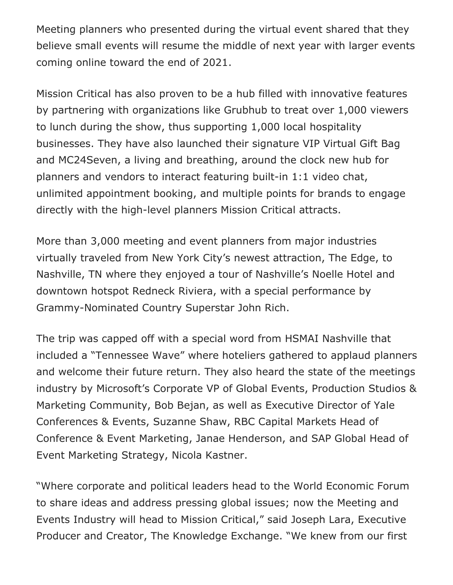Meeting planners who presented during the virtual event shared that they believe small events will resume the middle of next year with larger events coming online toward the end of 2021.

Mission Critical has also proven to be a hub filled with innovative features by partnering with organizations like Grubhub to treat over 1,000 viewers to lunch during the show, thus supporting 1,000 local hospitality businesses. They have also launched their signature VIP Virtual Gift Bag and MC24Seven, a living and breathing, around the clock new hub for planners and vendors to interact featuring built-in 1:1 video chat, unlimited appointment booking, and multiple points for brands to engage directly with the high-level planners Mission Critical attracts.

More than 3,000 meeting and event planners from major industries virtually traveled from New York City's newest attraction, The Edge, to Nashville, TN where they enjoyed a tour of Nashville's Noelle Hotel and downtown hotspot Redneck Riviera, with a special performance by Grammy-Nominated Country Superstar John Rich.

The trip was capped off with a special word from HSMAI Nashville that included a "Tennessee Wave" where hoteliers gathered to applaud planners and welcome their future return. They also heard the state of the meetings industry by Microsoft's Corporate VP of Global Events, Production Studios & Marketing Community, Bob Bejan, as well as Executive Director of Yale Conferences & Events, Suzanne Shaw, RBC Capital Markets Head of Conference & Event Marketing, Janae Henderson, and SAP Global Head of Event Marketing Strategy, Nicola Kastner.

"Where corporate and political leaders head to the World Economic Forum to share ideas and address pressing global issues; now the Meeting and Events Industry will head to Mission Critical," said Joseph Lara, Executive Producer and Creator, The Knowledge Exchange. "We knew from our first